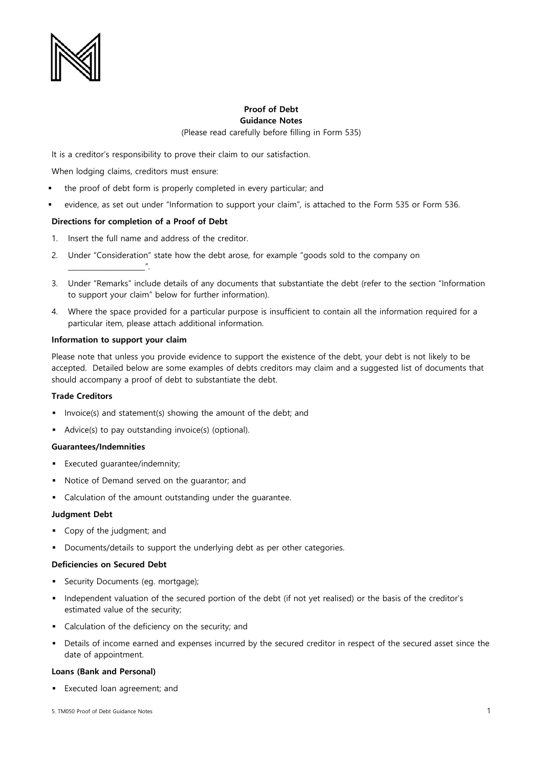

# **Proof of Debt Guidance Notes** (Please read carefully before filling in Form 535)

It is a creditor's responsibility to prove their claim to our satisfaction.

When lodging claims, creditors must ensure:

- the proof of debt form is properly completed in every particular; and
- evidence, as set out under "Information to support your claim", is attached to the Form 535 or Form 536.

## **Directions for completion of a Proof of Debt**

- 1. Insert the full name and address of the creditor.
- 2. Under "Consideration" state how the debt arose, for example "goods sold to the company on
- 3. Under "Remarks" include details of any documents that substantiate the debt (refer to the section "Information to support your claim" below for further information).
- 4. Where the space provided for a particular purpose is insufficient to contain all the information required for a particular item, please attach additional information.

### **Information to support your claim**

\_\_\_\_\_\_\_\_\_\_\_\_\_\_\_\_\_\_\_\_\_\_".

Please note that unless you provide evidence to support the existence of the debt, your debt is not likely to be accepted. Detailed below are some examples of debts creditors may claim and a suggested list of documents that should accompany a proof of debt to substantiate the debt.

### **Trade Creditors**

- Invoice(s) and statement(s) showing the amount of the debt; and
- Advice(s) to pay outstanding invoice(s) (optional).

#### **Guarantees/Indemnities**

- **Executed guarantee/indemnity;**
- Notice of Demand served on the guarantor; and
- Calculation of the amount outstanding under the guarantee.

#### **Judgment Debt**

- Copy of the judgment; and
- Documents/details to support the underlying debt as per other categories.

#### **Deficiencies on Secured Debt**

- Security Documents (eg. mortgage);
- Independent valuation of the secured portion of the debt (if not yet realised) or the basis of the creditor's estimated value of the security;
- Calculation of the deficiency on the security; and
- Details of income earned and expenses incurred by the secured creditor in respect of the secured asset since the date of appointment.

#### **Loans (Bank and Personal)**

Executed loan agreement; and

<sup>5.</sup> TM050 Proof of Debt Guidance Notes 1